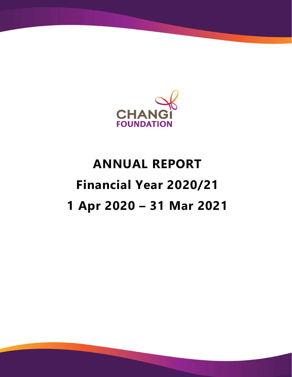

# **ANNUAL REPORT Financial Year 2020/21 1 Apr 2020 – 31 Mar 2021**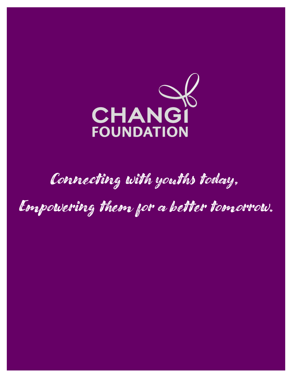

## Connecting with youths today,

Empowering them for a better tomorrow.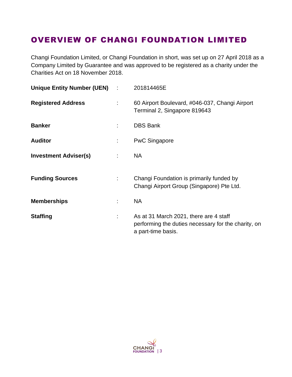### OVERVIEW OF CHANGI FOUNDATION LIMITED

Changi Foundation Limited, or Changi Foundation in short, was set up on 27 April 2018 as a Company Limited by Guarantee and was approved to be registered as a charity under the Charities Act on 18 November 2018.

| Unique Entity Number (UEN) : |    | 201814465E                                                                                                          |
|------------------------------|----|---------------------------------------------------------------------------------------------------------------------|
| <b>Registered Address</b>    | ÷  | 60 Airport Boulevard, #046-037, Changi Airport<br>Terminal 2, Singapore 819643                                      |
| <b>Banker</b>                |    | <b>DBS Bank</b>                                                                                                     |
| <b>Auditor</b>               |    | <b>PwC Singapore</b>                                                                                                |
| <b>Investment Adviser(s)</b> |    | <b>NA</b>                                                                                                           |
| <b>Funding Sources</b>       | ÷. | Changi Foundation is primarily funded by<br>Changi Airport Group (Singapore) Pte Ltd.                               |
| <b>Memberships</b>           |    | <b>NA</b>                                                                                                           |
| <b>Staffing</b>              |    | As at 31 March 2021, there are 4 staff<br>performing the duties necessary for the charity, on<br>a part-time basis. |

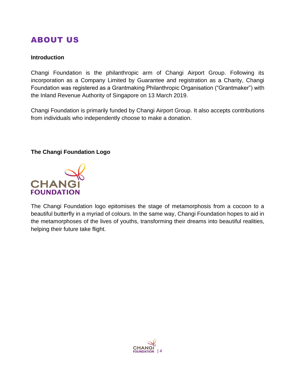### ABOUT US

### **Introduction**

Changi Foundation is the philanthropic arm of Changi Airport Group. Following its incorporation as a Company Limited by Guarantee and registration as a Charity, Changi Foundation was registered as a Grantmaking Philanthropic Organisation ("Grantmaker") with the Inland Revenue Authority of Singapore on 13 March 2019.

Changi Foundation is primarily funded by Changi Airport Group. It also accepts contributions from individuals who independently choose to make a donation.

### **The Changi Foundation Logo**



The Changi Foundation logo epitomises the stage of metamorphosis from a cocoon to a beautiful butterfly in a myriad of colours. In the same way, Changi Foundation hopes to aid in the metamorphoses of the lives of youths, transforming their dreams into beautiful realities, helping their future take flight.

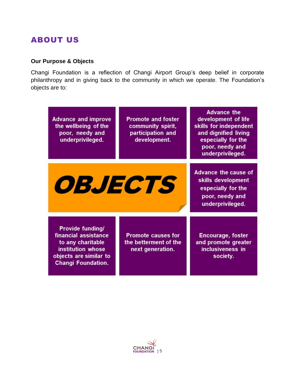### ABOUT US

### **Our Purpose & Objects**

Changi Foundation is a reflection of Changi Airport Group's deep belief in corporate philanthropy and in giving back to the community in which we operate. The Foundation's objects are to:

| <b>Advance and improve</b><br>the wellbeing of the<br>poor, needy and<br>underprivileged.                                                        | <b>Promote and foster</b><br>community spirit,<br>participation and<br>development. | <b>Advance the</b><br>development of life<br>skills for independent<br>and dignified living<br>especially for the<br>poor, needy and<br>underprivileged. |
|--------------------------------------------------------------------------------------------------------------------------------------------------|-------------------------------------------------------------------------------------|----------------------------------------------------------------------------------------------------------------------------------------------------------|
| <i><b>OBJECTS</b></i>                                                                                                                            |                                                                                     | <b>Advance the cause of</b><br>skills development<br>especially for the<br>poor, needy and<br>underprivileged.                                           |
| <b>Provide funding/</b><br>financial assistance<br>to any charitable<br>institution whose<br>objects are similar to<br><b>Changi Foundation.</b> | <b>Promote causes for</b><br>the betterment of the<br>next generation.              | <b>Encourage, foster</b><br>and promote greater<br>inclusiveness in<br>society.                                                                          |

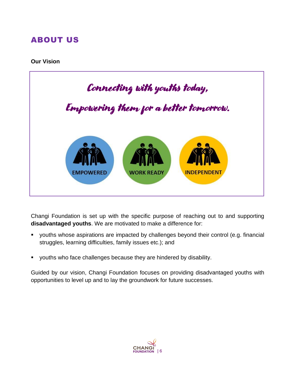### ABOUT US

#### **Our Vision**



Changi Foundation is set up with the specific purpose of reaching out to and supporting **disadvantaged youths**. We are motivated to make a difference for:

- youths whose aspirations are impacted by challenges beyond their control (e.g. financial struggles, learning difficulties, family issues etc.); and
- youths who face challenges because they are hindered by disability.

Guided by our vision, Changi Foundation focuses on providing disadvantaged youths with opportunities to level up and to lay the groundwork for future successes.

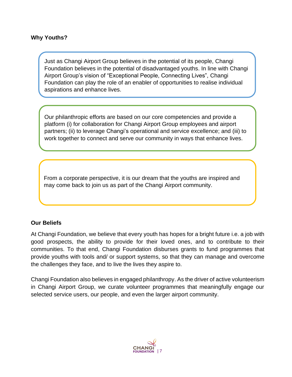Just as Changi Airport Group believes in the potential of its people, Changi Foundation believes in the potential of disadvantaged youths. In line with Changi Airport Group's vision of "Exceptional People, Connecting Lives", Changi Foundation can play the role of an enabler of opportunities to realise individual aspirations and enhance lives.

Our philanthropic efforts are based on our core competencies and provide a platform (i) for collaboration for Changi Airport Group employees and airport partners; (ii) to leverage Changi's operational and service excellence; and (iii) to work together to connect and serve our community in ways that enhance lives.

From a corporate perspective, it is our dream that the youths are inspired and may come back to join us as part of the Changi Airport community.

### **Our Beliefs**

At Changi Foundation, we believe that every youth has hopes for a bright future i.e. a job with good prospects, the ability to provide for their loved ones, and to contribute to their communities. To that end, Changi Foundation disburses grants to fund programmes that provide youths with tools and/ or support systems, so that they can manage and overcome the challenges they face, and to live the lives they aspire to.

Changi Foundation also believes in engaged philanthropy. As the driver of active volunteerism in Changi Airport Group, we curate volunteer programmes that meaningfully engage our selected service users, our people, and even the larger airport community.

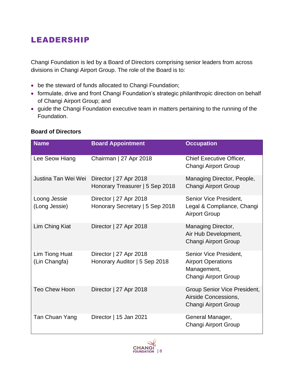### LEADERSHIP

Changi Foundation is led by a Board of Directors comprising senior leaders from across divisions in Changi Airport Group. The role of the Board is to:

- be the steward of funds allocated to Changi Foundation;
- formulate, drive and front Changi Foundation's strategic philanthropic direction on behalf of Changi Airport Group; and
- guide the Changi Foundation executive team in matters pertaining to the running of the Foundation.

| <b>Name</b>                     | <b>Board Appointment</b>                                  | <b>Occupation</b>                                                                          |
|---------------------------------|-----------------------------------------------------------|--------------------------------------------------------------------------------------------|
| Lee Seow Hiang                  | Chairman   27 Apr 2018                                    | <b>Chief Executive Officer,</b><br>Changi Airport Group                                    |
| Justina Tan Wei Wei             | Director   27 Apr 2018<br>Honorary Treasurer   5 Sep 2018 | Managing Director, People,<br>Changi Airport Group                                         |
| Loong Jessie<br>(Long Jessie)   | Director   27 Apr 2018<br>Honorary Secretary   5 Sep 2018 | Senior Vice President,<br>Legal & Compliance, Changi<br><b>Airport Group</b>               |
| Lim Ching Kiat                  | Director   27 Apr 2018                                    | Managing Director,<br>Air Hub Development,<br>Changi Airport Group                         |
| Lim Tiong Huat<br>(Lin Changfa) | Director   27 Apr 2018<br>Honorary Auditor   5 Sep 2018   | Senior Vice President,<br><b>Airport Operations</b><br>Management,<br>Changi Airport Group |
| <b>Teo Chew Hoon</b>            | Director   27 Apr 2018                                    | Group Senior Vice President,<br>Airside Concessions,<br>Changi Airport Group               |
| Tan Chuan Yang                  | Director   15 Jan 2021                                    | General Manager,<br>Changi Airport Group                                                   |

### **Board of Directors**

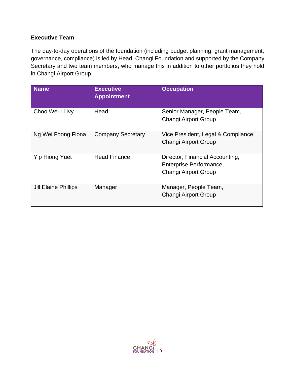### **Executive Team**

The day-to-day operations of the foundation (including budget planning, grant management, governance, compliance) is led by Head, Changi Foundation and supported by the Company Secretary and two team members, who manage this in addition to other portfolios they hold in Changi Airport Group.

| <b>Name</b>                 | <b>Executive</b><br><b>Appointment</b> | <b>Occupation</b>                                                                         |
|-----------------------------|----------------------------------------|-------------------------------------------------------------------------------------------|
| Choo Wei Li Ivy             | Head                                   | Senior Manager, People Team,<br><b>Changi Airport Group</b>                               |
| Ng Wei Foong Fiona          | <b>Company Secretary</b>               | Vice President, Legal & Compliance,<br><b>Changi Airport Group</b>                        |
| <b>Yip Hiong Yuet</b>       | <b>Head Finance</b>                    | Director, Financial Accounting,<br>Enterprise Performance,<br><b>Changi Airport Group</b> |
| <b>Jill Elaine Phillips</b> | Manager                                | Manager, People Team,<br><b>Changi Airport Group</b>                                      |

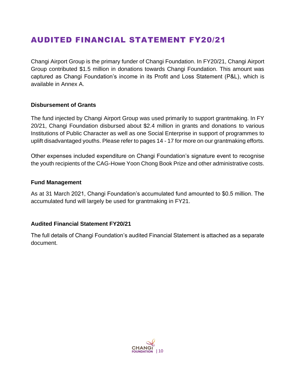### AUDITED FINANCIAL STATEMENT FY20/21

Changi Airport Group is the primary funder of Changi Foundation. In FY20/21, Changi Airport Group contributed \$1.5 million in donations towards Changi Foundation. This amount was captured as Changi Foundation's income in its Profit and Loss Statement (P&L), which is available in Annex A.

### **Disbursement of Grants**

The fund injected by Changi Airport Group was used primarily to support grantmaking. In FY 20/21, Changi Foundation disbursed about \$2.4 million in grants and donations to various Institutions of Public Character as well as one Social Enterprise in support of programmes to uplift disadvantaged youths. Please refer to pages 14 - 17 for more on our grantmaking efforts.

Other expenses included expenditure on Changi Foundation's signature event to recognise the youth recipients of the CAG-Howe Yoon Chong Book Prize and other administrative costs.

#### **Fund Management**

As at 31 March 2021, Changi Foundation's accumulated fund amounted to \$0.5 million. The accumulated fund will largely be used for grantmaking in FY21.

### **Audited Financial Statement FY20/21**

The full details of Changi Foundation's audited Financial Statement is attached as a separate document.

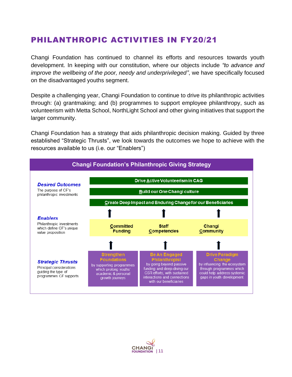### PHILANTHROPIC ACTIVITIES IN FY20/21

Changi Foundation has continued to channel its efforts and resources towards youth development. In keeping with our constitution, where our objects include *"to advance and improve the wellbeing of the poor, needy and underprivileged"*, we have specifically focused on the disadvantaged youths segment.

Despite a challenging year, Changi Foundation to continue to drive its philanthropic activities through: (a) grantmaking; and (b) programmes to support employee philanthropy, such as volunteerism with Metta School, NorthLight School and other giving initiatives that support the larger community.

Changi Foundation has a strategy that aids philanthropic decision making. Guided by three established "Strategic Thrusts", we look towards the outcomes we hope to achieve with the resources available to us (i.e. our "Enablers")



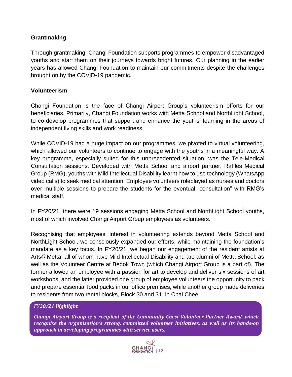### **Grantmaking**

Through grantmaking, Changi Foundation supports programmes to empower disadvantaged youths and start them on their journeys towards bright futures. Our planning in the earlier years has allowed Changi Foundation to maintain our commitments despite the challenges brought on by the COVID-19 pandemic.

### **Volunteerism**

Changi Foundation is the face of Changi Airport Group's volunteerism efforts for our beneficiaries. Primarily, Changi Foundation works with Metta School and NorthLight School, to co-develop programmes that support and enhance the youths' learning in the areas of independent living skills and work readiness.

While COVID-19 had a huge impact on our programmes, we pivoted to virtual volunteering, which allowed our volunteers to continue to engage with the youths in a meaningful way. A key programme, especially suited for this unprecedented situation, was the Tele-Medical Consultation sessions. Developed with Metta School and airport partner, Raffles Medical Group (RMG), youths with Mild Intellectual Disability learnt how to use technology (WhatsApp video calls) to seek medical attention. Employee volunteers roleplayed as nurses and doctors over multiple sessions to prepare the students for the eventual "consultation" with RMG's medical staff.

In FY20/21, there were 19 sessions engaging Metta School and NorthLight School youths, most of which involved Changi Airport Group employees as volunteers.

Recognising that employees' interest in volunteering extends beyond Metta School and NorthLight School, we consciously expanded our efforts, while maintaining the foundation's mandate as a key focus. In FY20/21, we began our engagement of the resident artists at Arts@Metta, all of whom have Mild Intellectual Disability and are alumni of Metta School, as well as the Volunteer Centre at Bedok Town (which Changi Airport Group is a part of). The former allowed an employee with a passion for art to develop and deliver six sessions of art workshops, and the latter provided one group of employee volunteers the opportunity to pack and prepare essential food packs in our office premises, while another group made deliveries to residents from two rental blocks, Block 30 and 31, in Chai Chee.

### *FY20/21 Highlight*

*Changi Airport Group is a recipient of the Community Chest Volunteer Partner Award, which recognise the organisation's strong, committed volunteer initiatives, as well as its hands-on approach in developing programmes with service users.* 

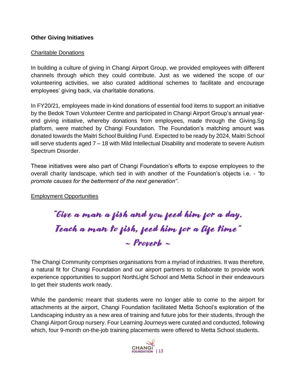### **Other Giving Initiatives**

### Charitable Donations

In building a culture of giving in Changi Airport Group, we provided employees with different channels through which they could contribute. Just as we widened the scope of our volunteering activities, we also curated additional schemes to facilitate and encourage employees' giving back, via charitable donations.

In FY20/21, employees made in-kind donations of essential food items to support an initiative by the Bedok Town Volunteer Centre and participated in Changi Airport Group's annual yearend giving initiative, whereby donations from employees, made through the Giving.Sg platform, were matched by Changi Foundation. The Foundation's matching amount was donated towards the Maitri School Building Fund. Expected to be ready by 2024, Maitri School will serve students aged 7 – 18 with Mild Intellectual Disability and moderate to severe Autism Spectrum Disorder.

These initiatives were also part of Changi Foundation's efforts to expose employees to the overall charity landscape, which tied in with another of the Foundation's objects i.e. - *"to promote causes for the betterment of the next generation"*.

Employment Opportunities

"Give a man a fish and you feed him for a day. Teach a man to fish, feed him for a life time"  $\sim$  Proverb  $\sim$ 

The Changi Community comprises organisations from a myriad of industries. It was therefore, a natural fit for Changi Foundation and our airport partners to collaborate to provide work experience opportunities to support NorthLight School and Metta School in their endeavours to get their students work ready.

While the pandemic meant that students were no longer able to come to the airport for attachments at the airport, Changi Foundation facilitated Metta School's exploration of the Landscaping industry as a new area of training and future jobs for their students, through the Changi Airport Group nursery. Four Learning Journeys were curated and conducted, following which, four 9-month on-the-job training placements were offered to Metta School students.

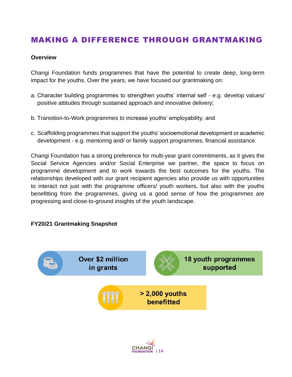### MAKING A DIFFERENCE THROUGH GRANTMAKING

#### **Overview**

Changi Foundation funds programmes that have the potential to create deep, long-term impact for the youths. Over the years, we have focused our grantmaking on:

- a. Character building programmes to strengthen youths' internal self e.g. develop values/ positive attitudes through sustained approach and innovative delivery;
- b. Transition-to-Work programmes to increase youths' employability; and
- c. Scaffolding programmes that support the youths' socioemotional development or academic development - e.g. mentoring and/ or family support programmes, financial assistance.

Changi Foundation has a strong preference for multi-year grant commitments, as it gives the Social Service Agencies and/or Social Enterprise we partner, the space to focus on programme development and to work towards the best outcomes for the youths. The relationships developed with our grant recipient agencies also provide us with opportunities to interact not just with the programme officers/ youth workers, but also with the youths benefitting from the programmes, giving us a good sense of how the programmes are progressing and close-to-ground insights of the youth landscape.

#### **FY20/21 Grantmaking Snapshot**



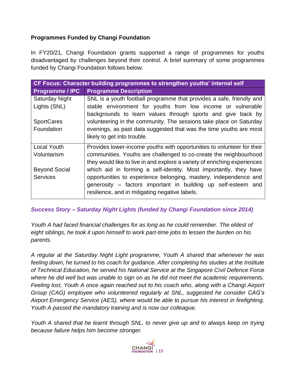### **Programmes Funded by Changi Foundation**

In FY20/21, Changi Foundation grants supported a range of programmes for youths disadvantaged by challenges beyond their control. A brief summary of some programmes funded by Changi Foundation follows below:

| CF Focus: Character building programmes to strengthen youths' internal self |                                                                           |  |
|-----------------------------------------------------------------------------|---------------------------------------------------------------------------|--|
| <b>Programme / IPC</b>                                                      | <b>Programme Description</b>                                              |  |
| <b>Saturday Night</b>                                                       | SNL is a youth football programme that provides a safe, friendly and      |  |
| Lights (SNL)                                                                | stable environment for youths from low income or vulnerable               |  |
|                                                                             | backgrounds to learn values through sports and give back by               |  |
| <b>SportCares</b>                                                           | volunteering in the community. The sessions take place on Saturday        |  |
| Foundation                                                                  | evenings, as past data suggested that was the time youths are most        |  |
|                                                                             | likely to get into trouble.                                               |  |
| <b>Local Youth</b>                                                          | Provides lower-income youths with opportunities to volunteer for their    |  |
| Voluntarism                                                                 | communities. Youths are challenged to co-create the neighbourhood         |  |
|                                                                             | they would like to live in and explore a variety of enriching experiences |  |
| <b>Beyond Social</b>                                                        | which aid in forming a self-identity. Most importantly, they have         |  |
| <b>Services</b>                                                             | opportunities to experience belonging, mastery, independence and          |  |
|                                                                             | generosity – factors important in building up self-esteem and             |  |
|                                                                             | resilience, and in mitigating negative labels.                            |  |

*Success Story – Saturday Night Lights (funded by Changi Foundation since 2014)*

*Youth A had faced financial challenges for as long as he could remember. The eldest of eight siblings, he took it upon himself to work part-time jobs to lessen the burden on his parents.*

*A regular at the Saturday Night Light programme, Youth A shared that whenever he was feeling down, he turned to his coach for guidance. After completing his studies at the Institute of Technical Education, he served his National Service at the Singapore Civil Defence Force where he did well but was unable to sign on as he did not meet the academic requirements. Feeling lost, Youth A once again reached out to his coach who, along with a Changi Airport Group (CAG) employee who volunteered regularly at SNL, suggested he consider CAG's Airport Emergency Service (AES), where would be able to pursue his interest in firefighting. Youth A passed the mandatory training and is now our colleague.*

*Youth A shared that he learnt through SNL, to never give up and to always keep on trying because failure helps him become stronger.* 

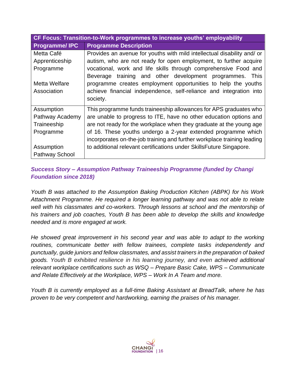| CF Focus: Transition-to-Work programmes to increase youths' employability |                                                                         |  |
|---------------------------------------------------------------------------|-------------------------------------------------------------------------|--|
| <b>Programme/IPC</b>                                                      | <b>Programme Description</b>                                            |  |
| Metta Café                                                                | Provides an avenue for youths with mild intellectual disability and/ or |  |
| Apprenticeship                                                            | autism, who are not ready for open employment, to further acquire       |  |
| Programme                                                                 | vocational, work and life skills through comprehensive Food and         |  |
|                                                                           | Beverage training and other development programmes.<br>This             |  |
| Metta Welfare                                                             | programme creates employment opportunities to help the youths           |  |
| Association                                                               | achieve financial independence, self-reliance and integration into      |  |
|                                                                           | society.                                                                |  |
| Assumption                                                                | This programme funds traineeship allowances for APS graduates who       |  |
| Pathway Academy                                                           | are unable to progress to ITE, have no other education options and      |  |
| Traineeship                                                               | are not ready for the workplace when they graduate at the young age     |  |
| Programme                                                                 | of 16. These youths undergo a 2-year extended programme which           |  |
|                                                                           | incorporates on-the-job training and further workplace training leading |  |
| Assumption                                                                | to additional relevant certifications under SkillsFuture Singapore.     |  |
| <b>Pathway School</b>                                                     |                                                                         |  |

### *Success Story – Assumption Pathway Traineeship Programme (funded by Changi Foundation since 2018)*

*Youth B was attached to the Assumption Baking Production Kitchen (ABPK) for his Work Attachment Programme. He required a longer learning pathway and was not able to relate well with his classmates and co-workers. Through lessons at school and the mentorship of his trainers and job coaches, Youth B has been able to develop the skills and knowledge needed and is more engaged at work.*

*He showed great improvement in his second year and was able to adapt to the working routines, communicate better with fellow trainees, complete tasks independently and punctually, guide juniors and fellow classmates, and assist trainers in the preparation of baked goods. Youth B exhibited resilience in his learning journey, and even achieved additional relevant workplace certifications such as WSQ – Prepare Basic Cake, WPS – Communicate and Relate Effectively at the Workplace, WPS – Work In A Team and more.*

*Youth B is currently employed as a full-time Baking Assistant at BreadTalk, where he has proven to be very competent and hardworking, earning the praises of his manager.*

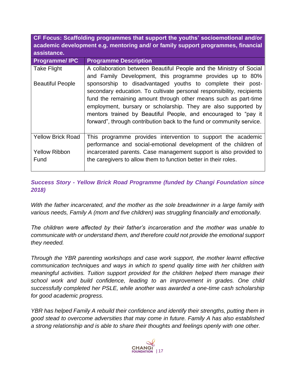**CF Focus: Scaffolding programmes that support the youths' socioemotional and/or academic development e.g. mentoring and/ or family support programmes, financial assistance.**

| <b>Programme/IPC</b>     | <b>Programme Description</b>                                          |
|--------------------------|-----------------------------------------------------------------------|
| <b>Take Flight</b>       | A collaboration between Beautiful People and the Ministry of Social   |
|                          | and Family Development, this programme provides up to 80%             |
| <b>Beautiful People</b>  | sponsorship to disadvantaged youths to complete their post-           |
|                          | secondary education. To cultivate personal responsibility, recipients |
|                          | fund the remaining amount through other means such as part-time       |
|                          | employment, bursary or scholarship. They are also supported by        |
|                          | mentors trained by Beautiful People, and encouraged to "pay it        |
|                          | forward", through contribution back to the fund or community service. |
|                          |                                                                       |
| <b>Yellow Brick Road</b> | This programme provides intervention to support the academic          |
|                          | performance and social-emotional development of the children of       |
| <b>Yellow Ribbon</b>     | incarcerated parents. Case management support is also provided to     |
| Fund                     | the caregivers to allow them to function better in their roles.       |
|                          |                                                                       |

### *Success Story - Yellow Brick Road Programme (funded by Changi Foundation since 2018)*

*With the father incarcerated, and the mother as the sole breadwinner in a large family with various needs, Family A (mom and five children) was struggling financially and emotionally.* 

*The children were affected by their father's incarceration and the mother was unable to communicate with or understand them, and therefore could not provide the emotional support they needed.* 

*Through the YBR parenting workshops and case work support, the mother learnt effective communication techniques and ways in which to spend quality time with her children with meaningful activities. Tuition support provided for the children helped them manage their school work and build confidence, leading to an improvement in grades. One child successfully completed her PSLE, while another was awarded a one-time cash scholarship for good academic progress.*

*YBR has helped Family A rebuild their confidence and identify their strengths, putting them in good stead to overcome adversities that may come in future. Family A has also established a strong relationship and is able to share their thoughts and feelings openly with one other.*

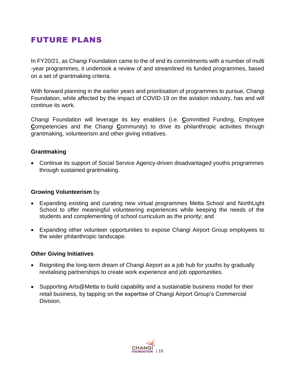### FUTURE PLANS

In FY20/21, as Changi Foundation came to the of end its commitments with a number of multi -year programmes, it undertook a review of and streamlined its funded programmes, based on a set of grantmaking criteria.

With forward planning in the earlier years and prioritisation of programmes to pursue, Changi Foundation, while affected by the impact of COVID-19 on the aviation industry, has and will continue its work.

Changi Foundation will leverage its key enablers (i.e. **C**ommitted Funding, Employee **Competencies and the Changi Community) to drive its philanthropic activities through** grantmaking, volunteerism and other giving initiatives.

### **Grantmaking**

• Continue its support of Social Service Agency-driven disadvantaged youths programmes through sustained grantmaking.

#### **Growing Volunteerism** by

- Expanding existing and curating new virtual programmes Metta School and NorthLight School to offer meaningful volunteering experiences while keeping the needs of the students and complementing of school curriculum as the priority; and
- Expanding other volunteer opportunities to expose Changi Airport Group employees to the wider philanthropic landscape.

#### **Other Giving Initiatives**

- Reigniting the long-term dream of Changi Airport as a job hub for youths by gradually revitalising partnerships to create work experience and job opportunities.
- Supporting Arts@Metta to build capability and a sustainable business model for their retail business, by tapping on the expertise of Changi Airport Group's Commercial Division.

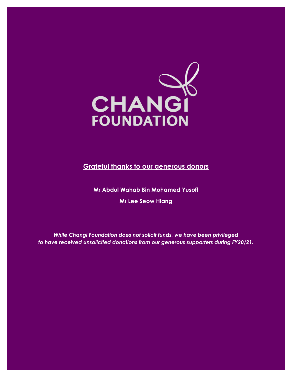

**Grateful thanks to our generous donors**

**Mr Abdul Wahab Bin Mohamed Yusoff Mr Lee Seow Hiang**

*While Changi Foundation does not solicit funds, we have been privileged to have received unsolicited donations from our generous supporters during FY20/21.*